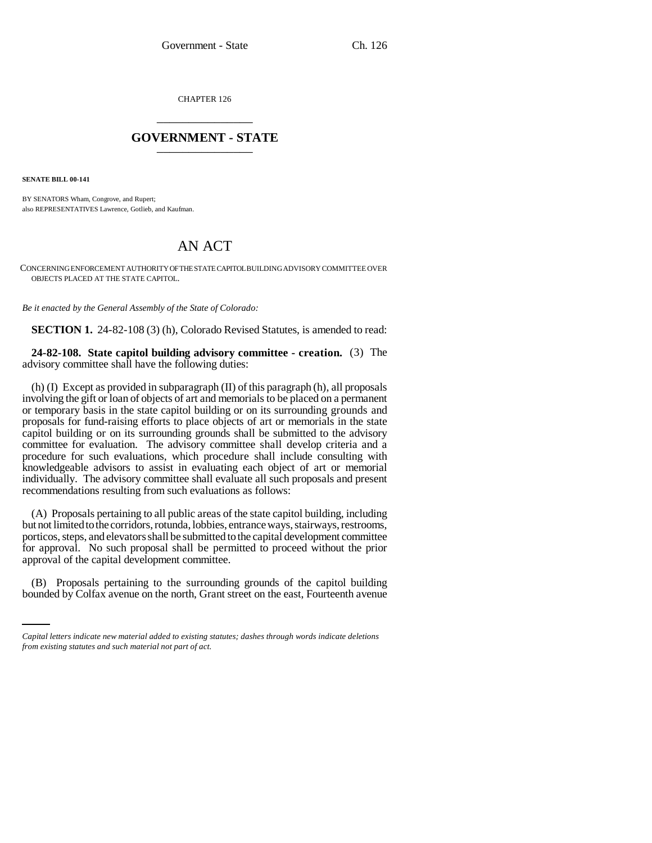CHAPTER 126 \_\_\_\_\_\_\_\_\_\_\_\_\_\_\_

## **GOVERNMENT - STATE** \_\_\_\_\_\_\_\_\_\_\_\_\_\_\_

**SENATE BILL 00-141** 

BY SENATORS Wham, Congrove, and Rupert; also REPRESENTATIVES Lawrence, Gotlieb, and Kaufman.

## AN ACT

CONCERNING ENFORCEMENT AUTHORITY OF THE STATE CAPITOL BUILDING ADVISORY COMMITTEE OVER OBJECTS PLACED AT THE STATE CAPITOL.

*Be it enacted by the General Assembly of the State of Colorado:*

**SECTION 1.** 24-82-108 (3) (h), Colorado Revised Statutes, is amended to read:

## **24-82-108. State capitol building advisory committee - creation.** (3) The advisory committee shall have the following duties:

(h) (I) Except as provided in subparagraph (II) of this paragraph (h), all proposals involving the gift or loan of objects of art and memorials to be placed on a permanent or temporary basis in the state capitol building or on its surrounding grounds and proposals for fund-raising efforts to place objects of art or memorials in the state capitol building or on its surrounding grounds shall be submitted to the advisory committee for evaluation. The advisory committee shall develop criteria and a procedure for such evaluations, which procedure shall include consulting with knowledgeable advisors to assist in evaluating each object of art or memorial individually. The advisory committee shall evaluate all such proposals and present recommendations resulting from such evaluations as follows:

 $\mathbf{r}$ (A) Proposals pertaining to all public areas of the state capitol building, including but not limited to the corridors, rotunda, lobbies, entrance ways, stairways, restrooms, porticos, steps, and elevators shall be submitted to the capital development committee for approval. No such proposal shall be permitted to proceed without the prior approval of the capital development committee.

(B) Proposals pertaining to the surrounding grounds of the capitol building bounded by Colfax avenue on the north, Grant street on the east, Fourteenth avenue

*Capital letters indicate new material added to existing statutes; dashes through words indicate deletions from existing statutes and such material not part of act.*